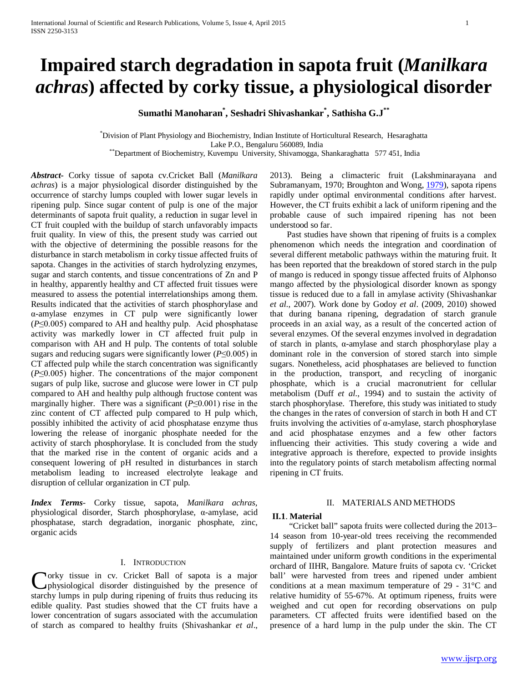# **Impaired starch degradation in sapota fruit (***Manilkara achras***) affected by corky tissue, a physiological disorder**

**Sumathi Manoharan\* , Seshadri Shivashankar\* , Sathisha G.J\*\***

\* Division of Plant Physiology and Biochemistry, Indian Institute of Horticultural Research, Hesaraghatta Lake P.O., Bengaluru 560089, India \*\*Department of Biochemistry, Kuvempu University, Shivamogga, Shankaraghatta 577 451, India

*Abstract***-** Corky tissue of sapota cv.Cricket Ball (*Manilkara achras*) is a major physiological disorder distinguished by the occurrence of starchy lumps coupled with lower sugar levels in ripening pulp. Since sugar content of pulp is one of the major determinants of sapota fruit quality, a reduction in sugar level in CT fruit coupled with the buildup of starch unfavorably impacts fruit quality. In view of this, the present study was carried out with the objective of determining the possible reasons for the disturbance in starch metabolism in corky tissue affected fruits of sapota. Changes in the activities of starch hydrolyzing enzymes, sugar and starch contents, and tissue concentrations of Zn and P in healthy, apparently healthy and CT affected fruit tissues were measured to assess the potential interrelationships among them. Results indicated that the activities of starch phosphorylase and α-amylase enzymes in CT pulp were significantly lower (*P*≤0.005) compared to AH and healthy pulp. Acid phosphatase activity was markedly lower in CT affected fruit pulp in comparison with AH and H pulp. The contents of total soluble sugars and reducing sugars were significantly lower (*P*≤0.005) in CT affected pulp while the starch concentration was significantly (*P*≤0.005) higher. The concentrations of the major component sugars of pulp like, sucrose and glucose were lower in CT pulp compared to AH and healthy pulp although fructose content was marginally higher. There was a significant (*P*≤0.001) rise in the zinc content of CT affected pulp compared to H pulp which, possibly inhibited the activity of acid phosphatase enzyme thus lowering the release of inorganic phosphate needed for the activity of starch phosphorylase. It is concluded from the study that the marked rise in the content of organic acids and a consequent lowering of pH resulted in disturbances in starch metabolism leading to increased electrolyte leakage and disruption of cellular organization in CT pulp.

*Index Terms*- Corky tissue, sapota, *Manilkara achras*, physiological disorder, Starch phosphorylase, α-amylase, acid phosphatase, starch degradation, inorganic phosphate, zinc, organic acids

## I. INTRODUCTION

orky tissue in cv. Cricket Ball of sapota is a major physiological disorder distinguished by the presence of Corky tissue in cv. Cricket Ball of sapota is a major physiological disorder distinguished by the presence of starchy lumps in pulp during ripening of fruits thus reducing its edible quality. Past studies showed that the CT fruits have a lower concentration of sugars associated with the accumulation of starch as compared to healthy fruits (Shivashankar *et al*.,

2013). Being a climacteric fruit (Lakshminarayana and Subramanyam, 1970; Broughton and Wong, [1979\)](http://www.ncbi.nlm.nih.gov/pmc/articles/PMC3551040/#CR4), sapota ripens rapidly under optimal environmental conditions after harvest. However, the CT fruits exhibit a lack of uniform ripening and the probable cause of such impaired ripening has not been understood so far.

 Past studies have shown that ripening of fruits is a complex phenomenon which needs the integration and coordination of several different metabolic pathways within the maturing fruit. It has been reported that the breakdown of stored starch in the pulp of mango is reduced in spongy tissue affected fruits of Alphonso mango affected by the physiological disorder known as spongy tissue is reduced due to a fall in amylase activity (Shivashankar *et al*., 2007). Work done by Godoy *et al*. (2009, 2010) showed that during banana ripening, degradation of starch granule proceeds in an axial way, as a result of the concerted action of several enzymes. Of the several enzymes involved in degradation of starch in plants, α-amylase and starch phosphorylase play a dominant role in the conversion of stored starch into simple sugars. Nonetheless, acid phosphatases are believed to function in the production, transport, and recycling of inorganic phosphate, which is a crucial macronutrient for cellular metabolism (Duff *et al*., 1994) and to sustain the activity of starch phosphorylase. Therefore, this study was initiated to study the changes in the rates of conversion of starch in both H and CT fruits involving the activities of α-amylase, starch phosphorylase and acid phosphatase enzymes and a few other factors influencing their activities. This study covering a wide and integrative approach is therefore, expected to provide insights into the regulatory points of starch metabolism affecting normal ripening in CT fruits.

## II. MATERIALS AND METHODS

## **II.1**. **Material**

 "Cricket ball" sapota fruits were collected during the 2013– 14 season from 10-year-old trees receiving the recommended supply of fertilizers and plant protection measures and maintained under uniform growth conditions in the experimental orchard of IIHR, Bangalore. Mature fruits of sapota cv. 'Cricket ball' were harvested from trees and ripened under ambient conditions at a mean maximum temperature of 29 - 31°C and relative humidity of 55-67%. At optimum ripeness, fruits were weighed and cut open for recording observations on pulp parameters. CT affected fruits were identified based on the presence of a hard lump in the pulp under the skin. The CT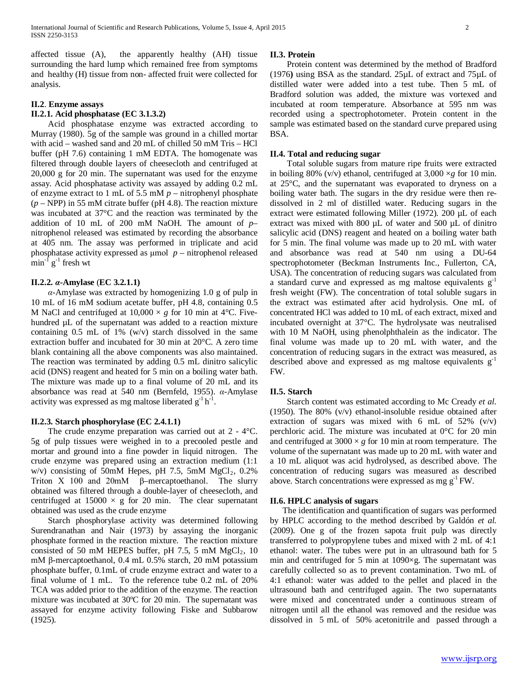affected tissue (A), the apparently healthy (AH) tissue surrounding the hard lump which remained free from symptoms and healthy (H) tissue from non- affected fruit were collected for analysis.

## **II.2**. **Enzyme assays**

## **II.2.1. Acid phosphatase (EC 3.1.3.2)**

 Acid phosphatase enzyme was extracted according to Murray (1980). 5g of the sample was ground in a chilled mortar with acid – washed sand and 20 mL of chilled 50 mM Tris – HCl buffer (pH 7.6) containing 1 mM EDTA. The homogenate was filtered through double layers of cheesecloth and centrifuged at 20,000 g for 20 min. The supernatant was used for the enzyme assay. Acid phosphatase activity was assayed by adding 0.2 mL of enzyme extract to 1 mL of 5.5 mM *p* – nitrophenyl phosphate (*p* – NPP) in 55 mM citrate buffer (pH 4.8). The reaction mixture was incubated at 37°C and the reaction was terminated by the addition of 10 mL of 200 mM NaOH. The amount of *p*– nitrophenol released was estimated by recording the absorbance at 405 nm. The assay was performed in triplicate and acid phosphatase activity expressed as μmol *p* – nitrophenol released  $\min^{-1} g^{-1}$  fresh wt

## **II.2.2.** *α***-Amylase** (**EC 3.2.1.1)**

 *α*-Amylase was extracted by homogenizing 1.0 g of pulp in 10 mL of 16 mM sodium acetate buffer, pH 4.8, containing 0.5 M NaCl and centrifuged at  $10,000 \times g$  for 10 min at 4°C. Fivehundred µL of the supernatant was added to a reaction mixture containing  $0.5$  mL of  $1\%$  (w/v) starch dissolved in the same extraction buffer and incubated for 30 min at 20°C. A zero time blank containing all the above components was also maintained. The reaction was terminated by adding 0.5 mL dinitro salicylic acid (DNS) reagent and heated for 5 min on a boiling water bath. The mixture was made up to a final volume of 20 mL and its absorbance was read at 540 nm (Bernfeld, 1955). *α*-Amylase activity was expressed as mg maltose liberated  $g^{-1}h^{-1}$ .

## **II.2.3. Starch phosphorylase (EC 2.4.1.1)**

 The crude enzyme preparation was carried out at 2 - 4°C. 5g of pulp tissues were weighed in to a precooled pestle and mortar and ground into a fine powder in liquid nitrogen. The crude enzyme was prepared using an extraction medium (1:1 w/v) consisting of 50mM Hepes, pH 7.5, 5mM  $MgCl<sub>2</sub>$ , 0.2% Triton X 100 and 20mM β–mercaptoethanol. The slurry obtained was filtered through a double-layer of cheesecloth, and centrifuged at  $15000 \times g$  for 20 min. The clear supernatant obtained was used as the crude enzyme

 Starch phosphorylase activity was determined following Surendranathan and Nair (1973) by assaying the inorganic phosphate formed in the reaction mixture. The reaction mixture consisted of 50 mM HEPES buffer, pH 7.5, 5 mM  $MgCl<sub>2</sub>$ , 10 mM β-mercaptoethanol, 0.4 mL 0.5% starch, 20 mM potassium phosphate buffer, 0.1mL of crude enzyme extract and water to a final volume of 1 mL. To the reference tube 0.2 mL of 20% TCA was added prior to the addition of the enzyme. The reaction mixture was incubated at 30ºC for 20 min. The supernatant was assayed for enzyme activity following Fiske and Subbarow (1925).

#### **II.3. Protein**

 Protein content was determined by the method of Bradford (1976**)** using BSA as the standard. 25µL of extract and 75µL of distilled water were added into a test tube. Then 5 mL of Bradford solution was added, the mixture was vortexed and incubated at room temperature. Absorbance at 595 nm was recorded using a spectrophotometer. Protein content in the sample was estimated based on the standard curve prepared using BSA.

### **II.4. Total and reducing sugar**

 Total soluble sugars from mature ripe fruits were extracted in boiling 80% ( $v/v$ ) ethanol, centrifuged at 3,000  $\times g$  for 10 min. at 25°C, and the supernatant was evaporated to dryness on a boiling water bath. The sugars in the dry residue were then redissolved in 2 ml of distilled water. Reducing sugars in the extract were estimated following Miller (1972). 200 µL of each extract was mixed with 800 µL of water and 500 µL of dinitro salicylic acid (DNS) reagent and heated on a boiling water bath for 5 min. The final volume was made up to 20 mL with water and absorbance was read at 540 nm using a DU-64 spectrophotometer (Beckman Instruments Inc., Fullerton, CA, USA). The concentration of reducing sugars was calculated from a standard curve and expressed as mg maltose equivalents  $g^{-1}$ fresh weight (FW). The concentration of total soluble sugars in the extract was estimated after acid hydrolysis. One mL of concentrated HCl was added to 10 mL of each extract, mixed and incubated overnight at 37°C. The hydrolysate was neutralised with 10 M NaOH, using phenolphthalein as the indicator. The final volume was made up to 20 mL with water, and the concentration of reducing sugars in the extract was measured, as described above and expressed as mg maltose equivalents  $g^{-1}$ FW.

## **II.5. Starch**

 Starch content was estimated according to Mc Cready *et al*. (1950). The 80% (v/v) ethanol-insoluble residue obtained after extraction of sugars was mixed with 6 mL of  $52\%$  (v/v) perchloric acid. The mixture was incubated at 0°C for 20 min and centrifuged at  $3000 \times g$  for 10 min at room temperature. The volume of the supernatant was made up to 20 mL with water and a 10 mL aliquot was acid hydrolysed, as described above. The concentration of reducing sugars was measured as described above. Starch concentrations were expressed as mg  $g^{-1}$  FW.

## **II.6. HPLC analysis of sugars**

 The identification and quantification of sugars was performed by HPLC according to the method described by Galdón *et al.* (2009). One g of the frozen sapota fruit pulp was directly transferred to polypropylene tubes and mixed with 2 mL of 4:1 ethanol: water. The tubes were put in an ultrasound bath for 5 min and centrifuged for 5 min at 1090×g. The supernatant was carefully collected so as to prevent contamination. Two mL of 4:1 ethanol: water was added to the pellet and placed in the ultrasound bath and centrifuged again. The two supernatants were mixed and concentrated under a continuous stream of nitrogen until all the ethanol was removed and the residue was dissolved in 5 mL of 50% acetonitrile and passed through a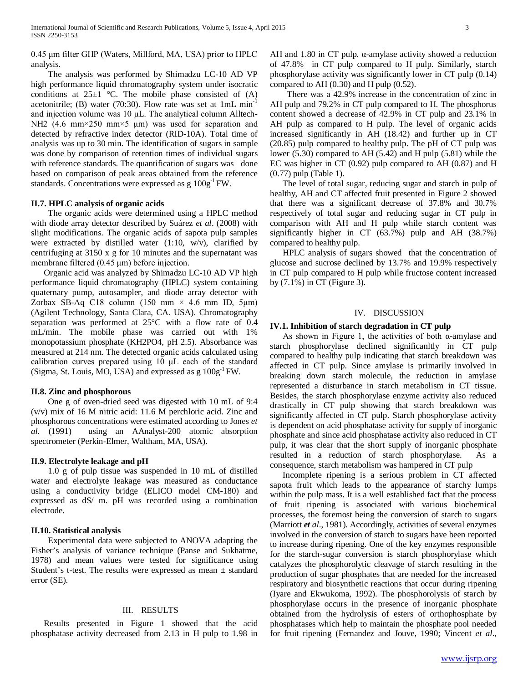0.45 μm filter GHP (Waters, Millford, MA, USA) prior to HPLC analysis.

 The analysis was performed by Shimadzu LC-10 AD VP high performance liquid chromatography system under isocratic conditions at  $25\pm1$  °C. The mobile phase consisted of (A) acetonitrile; (B) water  $(70:30)$ . Flow rate was set at 1mL min<sup>-1</sup> and injection volume was 10 μL. The analytical column Alltech-NH<sub>2</sub> (4.6 mm×250 mm×5 μm) was used for separation and detected by refractive index detector (RID-10A). Total time of analysis was up to 30 min. The identification of sugars in sample was done by comparison of retention times of individual sugars with reference standards. The quantification of sugars was done based on comparison of peak areas obtained from the reference standards. Concentrations were expressed as g  $100g^{-1}$  FW.

## **II.7. HPLC analysis of organic acids**

 The organic acids were determined using a HPLC method with diode array detector described by Suárez *et al*. (2008) with slight modifications. The organic acids of sapota pulp samples were extracted by distilled water  $(1:10, w/v)$ , clarified by centrifuging at 3150 x g for 10 minutes and the supernatant was membrane filtered (0.45 μm) before injection.

 Organic acid was analyzed by Shimadzu LC-10 AD VP high performance liquid chromatography (HPLC) system containing quaternary pump, autosampler, and diode array detector with Zorbax SB-Aq C18 column (150 mm  $\times$  4.6 mm ID, 5 µm) (Agilent Technology, Santa Clara, CA. USA). Chromatography separation was performed at 25°C with a flow rate of 0.4 mL/min. The mobile phase was carried out with 1% monopotassium phosphate (KH2PO4, pH 2.5). Absorbance was measured at 214 nm. The detected organic acids calculated using calibration curves prepared using 10 μL each of the standard (Sigma, St. Louis, MO, USA) and expressed as g 100g-1 FW*.*

### **II.8. Zinc and phosphorous**

 One g of oven-dried seed was digested with 10 mL of 9:4 (v/v) mix of 16 M nitric acid: 11.6 M perchloric acid. Zinc and phosphorous concentrations were estimated according to Jones *et al.* (1991) using an AAnalyst-200 atomic absorption spectrometer (Perkin-Elmer, Waltham, MA, USA).

## **II.9. Electrolyte leakage and pH**

 1.0 g of pulp tissue was suspended in 10 mL of distilled water and electrolyte leakage was measured as conductance using a conductivity bridge (ELICO model CM-180) and expressed as dS/ m. pH was recorded using a combination electrode.

## **II.10. Statistical analysis**

 Experimental data were subjected to ANOVA adapting the Fisher's analysis of variance technique (Panse and Sukhatme, 1978) and mean values were tested for significance using Student's t-test. The results were expressed as mean ± standard error (SE).

## III. RESULTS

 Results presented in Figure 1 showed that the acid phosphatase activity decreased from 2.13 in H pulp to 1.98 in

AH and 1.80 in CT pulp.  $\alpha$ -amylase activity showed a reduction of 47.8% in CT pulp compared to H pulp. Similarly, starch phosphorylase activity was significantly lower in CT pulp (0.14) compared to AH $(0.30)$  and H pulp  $(0.52)$ .

 There was a 42.9% increase in the concentration of zinc in AH pulp and 79.2% in CT pulp compared to H. The phosphorus content showed a decrease of 42.9% in CT pulp and 23.1% in AH pulp as compared to H pulp. The level of organic acids increased significantly in AH (18.42) and further up in CT (20.85) pulp compared to healthy pulp. The pH of CT pulp was lower (5.30) compared to AH (5.42) and H pulp (5.81) while the EC was higher in CT (0.92) pulp compared to AH (0.87) and H (0.77) pulp (Table 1).

 The level of total sugar, reducing sugar and starch in pulp of healthy, AH and CT affected fruit presented in Figure 2 showed that there was a significant decrease of 37.8% and 30.7% respectively of total sugar and reducing sugar in CT pulp in comparison with AH and H pulp while starch content was significantly higher in CT (63.7%) pulp and AH (38.7%) compared to healthy pulp.

 HPLC analysis of sugars showed that the concentration of glucose and sucrose declined by 13.7% and 19.9% respectively in CT pulp compared to H pulp while fructose content increased by (7.1%) in CT (Figure 3).

## IV. DISCUSSION

## **IV.1. Inhibition of starch degradation in CT pulp**

As shown in Figure 1, the activities of both  $\alpha$ -amylase and starch phosphorylase declined significanltly in CT pulp compared to healthy pulp indicating that starch breakdown was affected in CT pulp. Since amylase is primarily involved in breaking down starch molecule, the reduction in amylase represented a disturbance in starch metabolism in CT tissue. Besides, the starch phosphorylase enzyme activity also reduced drastically in CT pulp showing that starch breakdown was significantly affected in CT pulp. Starch phosphorylase activity is dependent on acid phosphatase activity for supply of inorganic phosphate and since acid phosphatase activity also reduced in CT pulp, it was clear that the short supply of inorganic phosphate resulted in a reduction of starch phosphorylase. As a consequence, starch metabolism was hampered in CT pulp

 Incomplete ripening is a serious problem in CT affected sapota fruit which leads to the appearance of starchy lumps within the pulp mass. It is a well established fact that the process of fruit ripening is associated with various biochemical processes, the foremost being the conversion of starch to sugars (Marriott *et al*., 1981). Accordingly, activities of several enzymes involved in the conversion of starch to sugars have been reported to increase during ripening. One of the key enzymes responsible for the starch-sugar conversion is starch phosphorylase which catalyzes the phosphorolytic cleavage of starch resulting in the production of sugar phosphates that are needed for the increased respiratory and biosynthetic reactions that occur during ripening (Iyare and Ekwukoma, 1992). The phosphorolysis of starch by phosphorylase occurs in the presence of inorganic phosphate obtained from the hydrolysis of esters of orthophosphate by phosphatases which help to maintain the phosphate pool needed for fruit ripening (Fernandez and Jouve, 1990; Vincent *et al*.,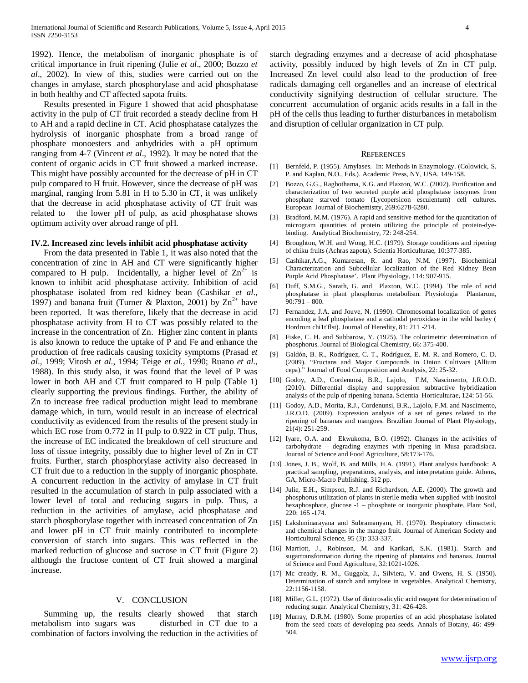1992). Hence, the metabolism of inorganic phosphate is of critical importance in fruit ripening (Julie *et al*., 2000; Bozzo *et al*., 2002). In view of this, studies were carried out on the changes in amylase, starch phosphorylase and acid phosphatase in both healthy and CT affected sapota fruits.

 Results presented in Figure 1 showed that acid phosphatase activity in the pulp of CT fruit recorded a steady decline from H to AH and a rapid decline in CT. Acid phosphatase catalyzes the hydrolysis of inorganic phosphate from a broad range of phosphate monoesters and anhydrides with a pH optimum ranging from 4-7 (Vincent *et al*., 1992). It may be noted that the content of organic acids in CT fruit showed a marked increase. This might have possibly accounted for the decrease of pH in CT pulp compared to H fruit. However, since the decrease of pH was marginal, ranging from 5.81 in H to 5.30 in CT, it was unlikely that the decrease in acid phosphatase activity of CT fruit was related to the lower pH of pulp, as acid phosphatase shows optimum activity over abroad range of pH.

#### **IV.2. Increased zinc levels inhibit acid phosphatase activity**

 From the data presented in Table 1, it was also noted that the concentration of zinc in AH and CT were significantly higher compared to H pulp. Incidentally, a higher level of  $\text{Zn}^2$  is known to inhibit acid phosphatase activity. Inhibition of acid phosphatase isolated from red kidney bean (Cashikar *et al*., 1997) and banana fruit (Turner & Plaxton, 2001) by  $\text{Zn}^{2+}$  have been reported. It was therefore, likely that the decrease in acid phosphatase activity from H to CT was possibly related to the increase in the concentration of Zn. Higher zinc content in plants is also known to reduce the uptake of P and Fe and enhance the production of free radicals causing toxicity symptoms (Prasad *et al*., 1999; Vitosh *et al*., 1994; Teige *et al.*, 1990; Ruano *et al*., 1988). In this study also, it was found that the level of P was lower in both AH and CT fruit compared to H pulp (Table 1) clearly supporting the previous findings. Further, the ability of Zn to increase free radical production might lead to membrane damage which, in turn, would result in an increase of electrical conductivity as evidenced from the results of the present study in which EC rose from 0.772 in H pulp to 0.922 in CT pulp. Thus, the increase of EC indicated the breakdown of cell structure and loss of tissue integrity, possibly due to higher level of Zn in CT fruits. Further, starch phosphorylase activity also decreased in CT fruit due to a reduction in the supply of inorganic phosphate. A concurrent reduction in the activity of amylase in CT fruit resulted in the accumulation of starch in pulp associated with a lower level of total and reducing sugars in pulp. Thus, a reduction in the activities of amylase, acid phosphatase and starch phosphorylase together with increased concentration of Zn and lower pH in CT fruit mainly contributed to incomplete conversion of starch into sugars. This was reflected in the marked reduction of glucose and sucrose in CT fruit (Figure 2) although the fructose content of CT fruit showed a marginal increase.

## V. CONCLUSION

 Summing up, the results clearly showed that starch metabolism into sugars was disturbed in CT due to a combination of factors involving the reduction in the activities of starch degrading enzymes and a decrease of acid phosphatase activity, possibly induced by high levels of Zn in CT pulp. Increased Zn level could also lead to the production of free radicals damaging cell organelles and an increase of electrical conductivity signifying destruction of cellular structure. The concurrent accumulation of organic acids results in a fall in the pH of the cells thus leading to further disturbances in metabolism and disruption of cellular organization in CT pulp.

#### **REFERENCES**

- [1] Bernfeld, P. (1955). Amylases. In: Methods in Enzymology. (Colowick, S. P. and Kaplan, N.O., Eds.). Academic Press, NY, USA. 149-158.
- [2] Bozzo, G.G., Raghothama, K.G. and Plaxton, W.C. (2002). Purification and characterization of two secreted purple acid phosphatase isozymes from phosphate starved tomato (Lycopersicon esculentum) cell cultures. European Journal of Biochemistty, 269:6278-6280.
- [3] Bradford, M.M. (1976). A rapid and sensitive method for the quantitation of microgram quantities of protein utilizing the principle of protein-dyebinding. Analytical Biochemistry, 72: 248-254.
- [4] Broughton, W.H. and Wong, H.C. (1979). Storage conditions and ripening of chiku fruits (Achras zapota). Scientia Horticulturae, 10:377-385.
- [5] Cashikar,A.G., Kumaresan, R. and Rao, N.M. (1997). Biochemical Characterization and Subcellular localization of the Red Kidney Bean Purple Acid Phosphatase'. Plant Physiology, 114: 907-915.
- [6] Duff, S.M.G., Sarath, G. and Plaxton, W.C. (1994). The role of acid phosphatase in plant phosphorus metabolism. Physiologia Plantarum, 90:791 – 800.
- [7] Fernandez, J.A. and Jouve, N. (1990). Chromosomal localization of genes encoding a leaf phosphatase and a cathodal peroxidase in the wild barley ( Hordrom chi1t'flst). Journal of Heredity, 81: 211 -214.
- [8] Fiske, C. H. and Subbarow, Y. (1925). The colorimetric determination of phosphorus. Journal of Biological Chemistry, 66: 375-400.
- [9] Galdón, B. R., Rodríguez, C. T., Rodríguez, E. M. R. and Romero, C. D. (2009). "Fructans and Major Compounds in Onion Cultivars (Allium cepa)." Journal of Food Composition and Analysis, 22: 25-32.
- [10] Godoy, A.D., Cordenunsi, B.R., Lajolo, F.M, Nascimento, J.R.O.D. (2010). Differential display and suppression subtractive hybridization analysis of the pulp of ripening banana. Scientia Horticulturae, 124: 51-56.
- [11] Godoy, A.D., Morita, R.J., Cordenunsi, B.R., Lajolo, F.M. and Nascimento, J.R.O.D. (2009). Expression analysis of a set of genes related to the ripening of bananas and mangoes. Brazilian Journal of Plant Physiology, 21(4): 251-259.
- [12] Iyare, O.A. and Ekwukoma, B.O. (1992). Changes in the activities of carbohydrate – degrading enzymes with ripening in Musa paradisiaca. Journal of Science and Food Agriculture, 58:173-176.
- [13] Jones, J. B., Wolf, B. and Mills, H.A. (1991). Plant analysis handbook: A practical sampling, preparations, analysis, and interpretation guide. Athens, GA, Micro-Macro Publishing. 312 pp.
- [14] Julie, E.H., Simpson, R.J. and Richardson, A.E. (2000). The growth and phosphorus utilization of plants in sterile media when supplied with inositol hexaphosphate, glucose -1 – phosphate or inorganic phosphate. Plant Soil, 220: 165 -174.
- [15] Lakshminarayana and Subramanyam, H. (1970). Respiratory climacteric and chemical changes in the mango fruit. Journal of American Society and Horticultural Science, 95 (3): 333-337.
- [16] Marriott, J., Robinson, M. and Karikari, S.K. (1981). Starch and sugartransformation during the ripening of plantains and bananas. Journal of Science and Food Agriculture, 32:1021-1026.
- [17] Mc cready, R. M., Guggolz, J., Silviera, V. and Owens, H. S. (1950). Determination of starch and amylose in vegetables. Analytical Chemistry, 22:1156-1158.
- [18] Miller, G.L. (1972). Use of dinitrosalicylic acid reagent for determination of reducing sugar. Analytical Chemistry, 31: 426-428.
- [19] Murray, D.R.M. (1980). Some properties of an acid phosphatase isolated from the seed coats of developing pea seeds. Annals of Botany, 46: 499- 504.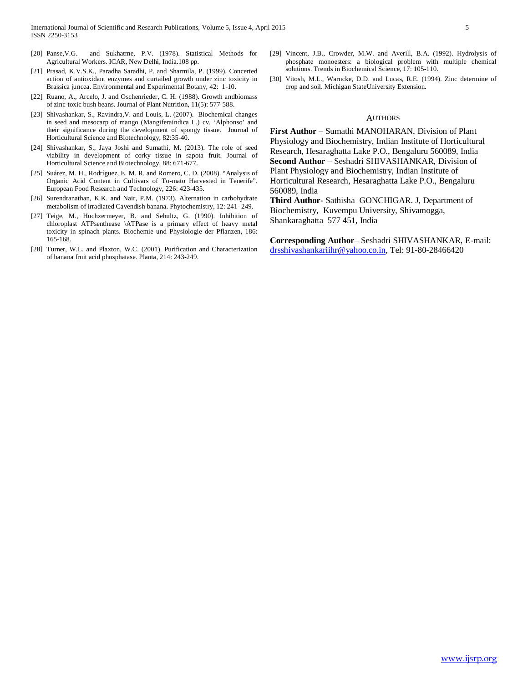- [20] Panse,V.G. and Sukhatme, P.V. (1978). Statistical Methods for Agricultural Workers. ICAR, New Delhi, India.108 pp.
- [21] Prasad, K.V.S.K., Paradha Saradhi, P. and Sharmila, P. (1999). Concerted action of antioxidant enzymes and curtailed growth under zinc toxicity in Brassica juncea. Environmental and Experimental Botany, 42: 1-10.
- [22] Ruano, A., Arcelo, J. and Oschenrieder, C. H. (1988). Growth andbiomass of zinc-toxic bush beans. Journal of Plant Nutrition, 11(5): 577-588.
- [23] Shivashankar, S., Ravindra,V. and Louis, L. (2007). Biochemical changes in seed and mesocarp of mango (Mangiferaindica L.) cv. 'Alphonso' and their significance during the development of spongy tissue. Journal of Horticultural Science and Biotechnology, 82:35-40.
- [24] Shivashankar, S., Jaya Joshi and Sumathi, M. (2013). The role of seed viability in development of corky tissue in sapota fruit. Journal of Horticultural Science and Biotechnology, 88: 671-677.
- [25] Suárez, M. H., Rodríguez, E. M. R. and Romero, C. D. (2008). "Analysis of Organic Acid Content in Cultivars of To-mato Harvested in Tenerife". European Food Research and Technology, 226: 423-435.
- [26] Surendranathan, K.K. and Nair, P.M. (1973). Alternation in carbohydrate metabolism of irradiated Cavendish banana. Phytochemistry, 12: 241- 249.
- [27] Teige, M., Huchzermeyer, B. and Sehultz, G. (1990). Inhibition of chloroplast ATPsenthease \ATPase is a primary effect of heavy metal toxicity in spinach plants. Biochemie und Physiologie der Pflanzen, 186: 165-168.
- [28] Turner, W.L. and Plaxton, W.C. (2001). Purification and Characterization of banana fruit acid phosphatase. Planta, 214: 243-249.
- [29] Vincent, J.B., Crowder, M.W. and Averill, B.A. (1992). Hydrolysis of phosphate monoesters: a biological problem with multiple chemical solutions. Trends in Biochemical Science, 17: 105-110.
- [30] Vitosh, M.L., Warncke, D.D. and Lucas, R.E. (1994). Zinc determine of crop and soil. Michigan StateUniversity Extension.

## AUTHORS

**First Author** – Sumathi MANOHARAN, Division of Plant Physiology and Biochemistry, Indian Institute of Horticultural Research, Hesaraghatta Lake P.O., Bengaluru 560089, India **Second Author** – Seshadri SHIVASHANKAR, Division of Plant Physiology and Biochemistry, Indian Institute of Horticultural Research, Hesaraghatta Lake P.O., Bengaluru 560089, India

**Third Author-** Sathisha GONCHIGAR. J, Department of Biochemistry, Kuvempu University, Shivamogga, Shankaraghatta 577 451, India

**Corresponding Author**– Seshadri SHIVASHANKAR, E-mail: [drsshivashankariihr@yahoo.co.in,](mailto:drsshivashankariihr@yahoo.co.in) Tel: 91-80-28466420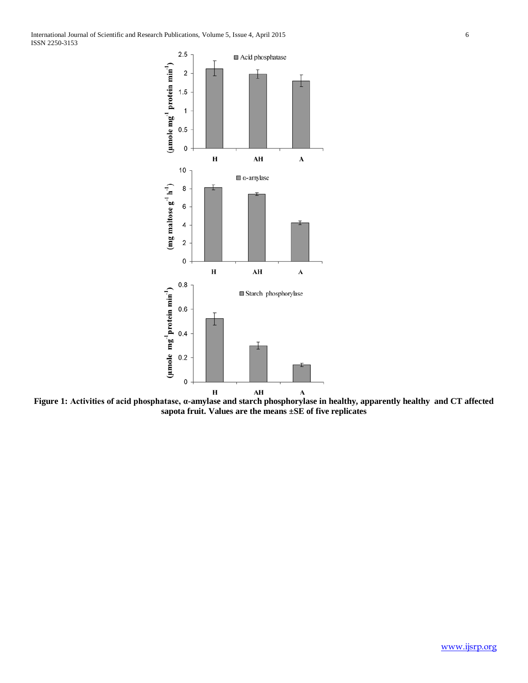International Journal of Scientific and Research Publications, Volume 5, Issue 4, April 2015 6 ISSN 2250-3153



**Figure 1: Activities of acid phosphatase, α-amylase and starch phosphorylase in healthy, apparently healthy and CT affected sapota fruit. Values are the means ±SE of five replicates**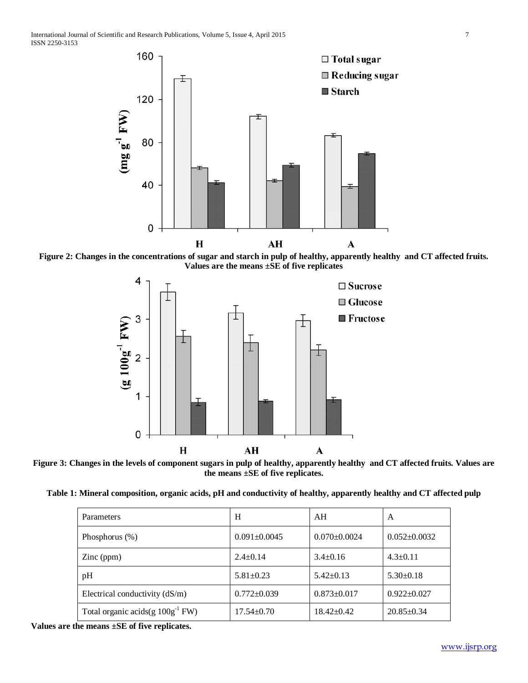

**Figure 2: Changes in the concentrations of sugar and starch in pulp of healthy, apparently healthy and CT affected fruits. Values are the means ±SE of five replicates**



**Figure 3: Changes in the levels of component sugars in pulp of healthy, apparently healthy and CT affected fruits. Values are the means ±SE of five replicates.**

**Table 1: Mineral composition, organic acids, pH and conductivity of healthy, apparently healthy and CT affected pulp**

| <b>Parameters</b>                     | H                  | AH                 | A                  |
|---------------------------------------|--------------------|--------------------|--------------------|
| Phosphorus $(\%)$                     | $0.091 \pm 0.0045$ | $0.070 \pm 0.0024$ | $0.052 \pm 0.0032$ |
| $\text{Zinc (ppm)}$                   | $2.4 \pm 0.14$     | $3.4 \pm 0.16$     | $4.3 \pm 0.11$     |
| pH                                    | $5.81 \pm 0.23$    | $5.42 \pm 0.13$    | $5.30\pm0.18$      |
| Electrical conductivity $(dS/m)$      | $0.772 \pm 0.039$  | $0.873 \pm 0.017$  | $0.922 \pm 0.027$  |
| Total organic acids(g $100g^{-1}$ FW) | $17.54 \pm 0.70$   | $18.42 \pm 0.42$   | $20.85 \pm 0.34$   |

**Values are the means ±SE of five replicates.**